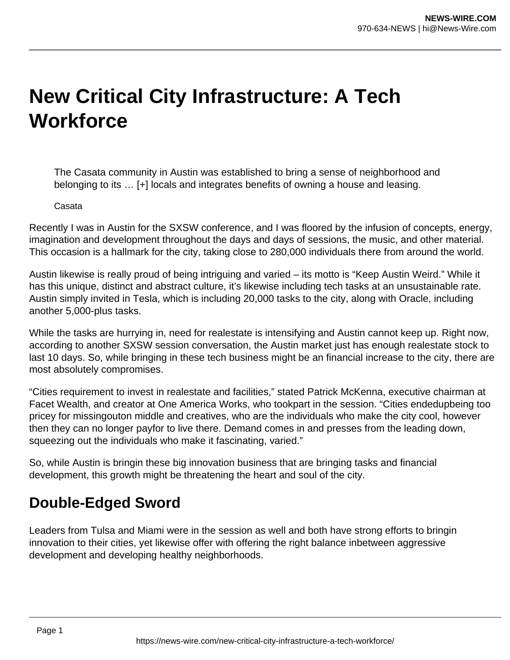## **New Critical City Infrastructure: A Tech Workforce**

The Casata community in Austin was established to bring a sense of neighborhood and belonging to its … [+] locals and integrates benefits of owning a house and leasing.

## Casata

Recently I was in Austin for the SXSW conference, and I was floored by the infusion of concepts, energy, imagination and development throughout the days and days of sessions, the music, and other material. This occasion is a hallmark for the city, taking close to 280,000 individuals there from around the world.

Austin likewise is really proud of being intriguing and varied – its motto is "Keep Austin Weird." While it has this unique, distinct and abstract culture, it's likewise including tech tasks at an unsustainable rate. Austin simply invited in Tesla, which is including 20,000 tasks to the city, along with Oracle, including another 5,000-plus tasks.

While the tasks are hurrying in, need for realestate is intensifying and Austin cannot keep up. Right now, according to another SXSW session conversation, the Austin market just has enough realestate stock to last 10 days. So, while bringing in these tech business might be an financial increase to the city, there are most absolutely compromises.

"Cities requirement to invest in realestate and facilities," stated Patrick McKenna, executive chairman at Facet Wealth, and creator at One America Works, who tookpart in the session. "Cities endedupbeing too pricey for missingouton middle and creatives, who are the individuals who make the city cool, however then they can no longer payfor to live there. Demand comes in and presses from the leading down, squeezing out the individuals who make it fascinating, varied."

So, while Austin is bringin these big innovation business that are bringing tasks and financial development, this growth might be threatening the heart and soul of the city.

## **Double-Edged Sword**

Leaders from Tulsa and Miami were in the session as well and both have strong efforts to bringin innovation to their cities, yet likewise offer with offering the right balance inbetween aggressive development and developing healthy neighborhoods.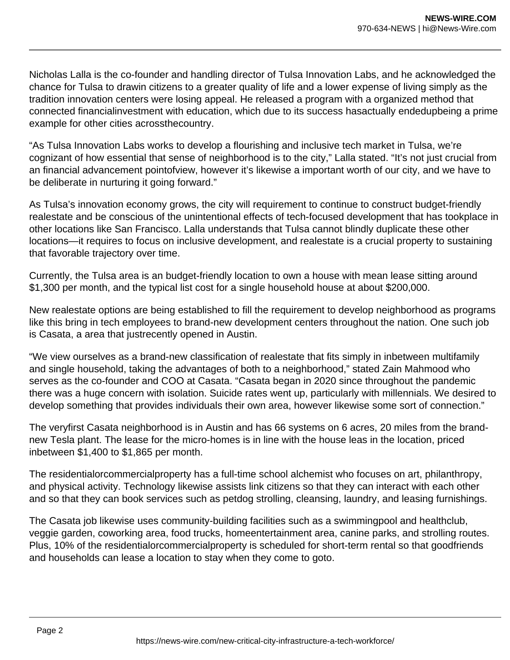Nicholas Lalla is the co-founder and handling director of Tulsa Innovation Labs, and he acknowledged the chance for Tulsa to drawin citizens to a greater quality of life and a lower expense of living simply as the tradition innovation centers were losing appeal. He released a program with a organized method that connected financialinvestment with education, which due to its success hasactually endedupbeing a prime example for other cities acrossthecountry.

"As Tulsa Innovation Labs works to develop a flourishing and inclusive tech market in Tulsa, we're cognizant of how essential that sense of neighborhood is to the city," Lalla stated. "It's not just crucial from an financial advancement pointofview, however it's likewise a important worth of our city, and we have to be deliberate in nurturing it going forward."

As Tulsa's innovation economy grows, the city will requirement to continue to construct budget-friendly realestate and be conscious of the unintentional effects of tech-focused development that has tookplace in other locations like San Francisco. Lalla understands that Tulsa cannot blindly duplicate these other locations—it requires to focus on inclusive development, and realestate is a crucial property to sustaining that favorable trajectory over time.

Currently, the Tulsa area is an budget-friendly location to own a house with mean lease sitting around \$1,300 per month, and the typical list cost for a single household house at about \$200,000.

New realestate options are being established to fill the requirement to develop neighborhood as programs like this bring in tech employees to brand-new development centers throughout the nation. One such job is Casata, a area that justrecently opened in Austin.

"We view ourselves as a brand-new classification of realestate that fits simply in inbetween multifamily and single household, taking the advantages of both to a neighborhood," stated Zain Mahmood who serves as the co-founder and COO at Casata. "Casata began in 2020 since throughout the pandemic there was a huge concern with isolation. Suicide rates went up, particularly with millennials. We desired to develop something that provides individuals their own area, however likewise some sort of connection."

The veryfirst Casata neighborhood is in Austin and has 66 systems on 6 acres, 20 miles from the brandnew Tesla plant. The lease for the micro-homes is in line with the house leas in the location, priced inbetween \$1,400 to \$1,865 per month.

The residentialorcommercialproperty has a full-time school alchemist who focuses on art, philanthropy, and physical activity. Technology likewise assists link citizens so that they can interact with each other and so that they can book services such as petdog strolling, cleansing, laundry, and leasing furnishings.

The Casata job likewise uses community-building facilities such as a swimmingpool and healthclub, veggie garden, coworking area, food trucks, homeentertainment area, canine parks, and strolling routes. Plus, 10% of the residentialorcommercialproperty is scheduled for short-term rental so that goodfriends and households can lease a location to stay when they come to goto.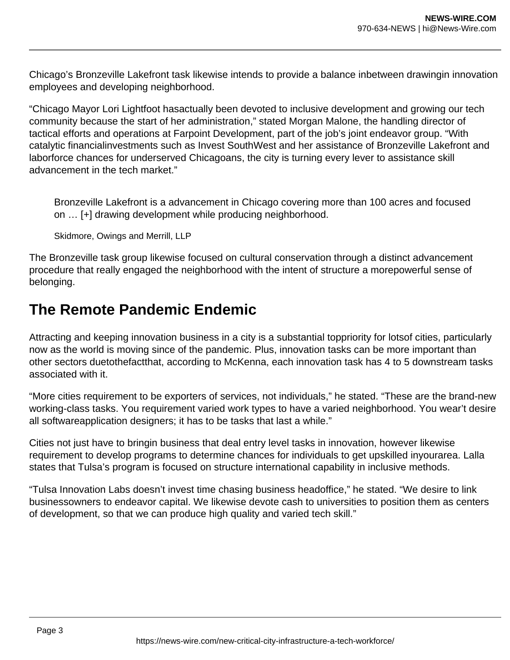Chicago's Bronzeville Lakefront task likewise intends to provide a balance inbetween drawingin innovation employees and developing neighborhood.

"Chicago Mayor Lori Lightfoot hasactually been devoted to inclusive development and growing our tech community because the start of her administration," stated Morgan Malone, the handling director of tactical efforts and operations at Farpoint Development, part of the job's joint endeavor group. "With catalytic financialinvestments such as Invest SouthWest and her assistance of Bronzeville Lakefront and laborforce chances for underserved Chicagoans, the city is turning every lever to assistance skill advancement in the tech market."

Bronzeville Lakefront is a advancement in Chicago covering more than 100 acres and focused on … [+] drawing development while producing neighborhood.

Skidmore, Owings and Merrill, LLP

The Bronzeville task group likewise focused on cultural conservation through a distinct advancement procedure that really engaged the neighborhood with the intent of structure a morepowerful sense of belonging.

## **The Remote Pandemic Endemic**

Attracting and keeping innovation business in a city is a substantial toppriority for lotsof cities, particularly now as the world is moving since of the pandemic. Plus, innovation tasks can be more important than other sectors duetothefactthat, according to McKenna, each innovation task has 4 to 5 downstream tasks associated with it.

"More cities requirement to be exporters of services, not individuals," he stated. "These are the brand-new working-class tasks. You requirement varied work types to have a varied neighborhood. You wear't desire all softwareapplication designers; it has to be tasks that last a while."

Cities not just have to bringin business that deal entry level tasks in innovation, however likewise requirement to develop programs to determine chances for individuals to get upskilled inyourarea. Lalla states that Tulsa's program is focused on structure international capability in inclusive methods.

"Tulsa Innovation Labs doesn't invest time chasing business headoffice," he stated. "We desire to link businessowners to endeavor capital. We likewise devote cash to universities to position them as centers of development, so that we can produce high quality and varied tech skill."